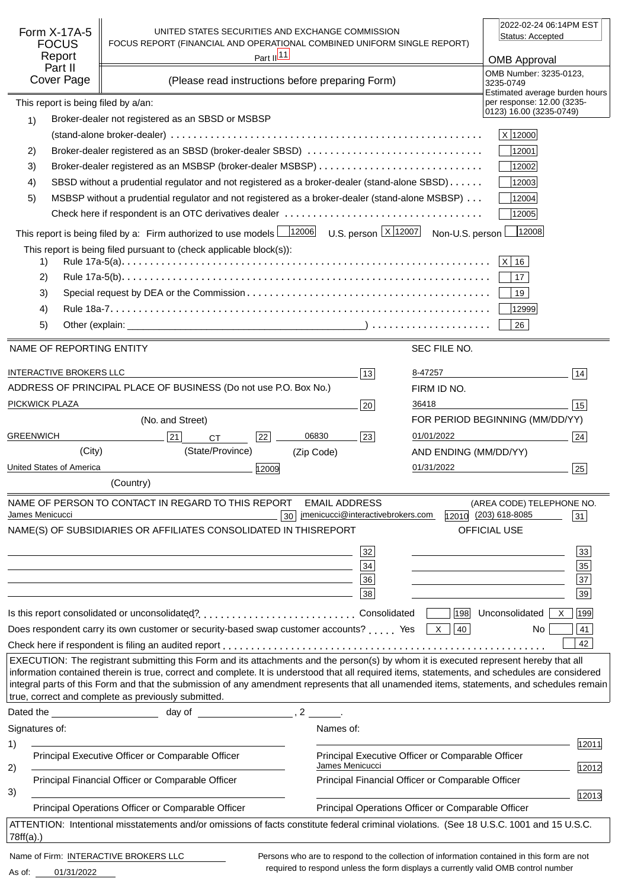| Form X-17A-5<br><b>FOCUS</b><br>Report<br>Part II<br>Cover Page                                                                                          | UNITED STATES SECURITIES AND EXCHANGE COMMISSION<br>FOCUS REPORT (FINANCIAL AND OPERATIONAL COMBINED UNIFORM SINGLE REPORT)<br>(Please read instructions before preparing Form)                                                                                                                                                                                                                                                                                                               | Part $\frac{ 11 }{ }$ |                                                                      |                       | 2022-02-24 06:14PM EST<br>Status: Accepted<br><b>OMB Approval</b><br>OMB Number: 3235-0123,<br>3235-0749 |
|----------------------------------------------------------------------------------------------------------------------------------------------------------|-----------------------------------------------------------------------------------------------------------------------------------------------------------------------------------------------------------------------------------------------------------------------------------------------------------------------------------------------------------------------------------------------------------------------------------------------------------------------------------------------|-----------------------|----------------------------------------------------------------------|-----------------------|----------------------------------------------------------------------------------------------------------|
| This report is being filed by a/an:                                                                                                                      |                                                                                                                                                                                                                                                                                                                                                                                                                                                                                               |                       |                                                                      |                       | Estimated average burden hours<br>per response: 12.00 (3235-                                             |
| 1)                                                                                                                                                       | Broker-dealer not registered as an SBSD or MSBSP                                                                                                                                                                                                                                                                                                                                                                                                                                              |                       |                                                                      |                       | 0123) 16.00 (3235-0749)                                                                                  |
|                                                                                                                                                          |                                                                                                                                                                                                                                                                                                                                                                                                                                                                                               |                       |                                                                      |                       | X 12000                                                                                                  |
| 2)                                                                                                                                                       | Broker-dealer registered as an SBSD (broker-dealer SBSD)                                                                                                                                                                                                                                                                                                                                                                                                                                      |                       |                                                                      |                       | 12001                                                                                                    |
| 3)                                                                                                                                                       |                                                                                                                                                                                                                                                                                                                                                                                                                                                                                               |                       |                                                                      |                       | 12002                                                                                                    |
| 4)                                                                                                                                                       | SBSD without a prudential regulator and not registered as a broker-dealer (stand-alone SBSD)                                                                                                                                                                                                                                                                                                                                                                                                  |                       |                                                                      |                       | 12003                                                                                                    |
| 5)                                                                                                                                                       | MSBSP without a prudential regulator and not registered as a broker-dealer (stand-alone MSBSP)                                                                                                                                                                                                                                                                                                                                                                                                |                       |                                                                      |                       | 12004                                                                                                    |
|                                                                                                                                                          |                                                                                                                                                                                                                                                                                                                                                                                                                                                                                               |                       |                                                                      |                       | 12005                                                                                                    |
|                                                                                                                                                          | This report is being filed by a: Firm authorized to use models $\frac{12006}{12006}$ U.S. person $\frac{X}{12007}$ Non-U.S. person                                                                                                                                                                                                                                                                                                                                                            |                       |                                                                      |                       | 12008                                                                                                    |
| 1)<br>2)                                                                                                                                                 | This report is being filed pursuant to (check applicable block(s)):                                                                                                                                                                                                                                                                                                                                                                                                                           |                       |                                                                      |                       | $ X $ 16<br>17                                                                                           |
| 3)                                                                                                                                                       |                                                                                                                                                                                                                                                                                                                                                                                                                                                                                               |                       |                                                                      |                       | 19                                                                                                       |
| 4)                                                                                                                                                       |                                                                                                                                                                                                                                                                                                                                                                                                                                                                                               |                       |                                                                      |                       | 12999                                                                                                    |
| 5)                                                                                                                                                       |                                                                                                                                                                                                                                                                                                                                                                                                                                                                                               |                       |                                                                      |                       | 26                                                                                                       |
| NAME OF REPORTING ENTITY                                                                                                                                 |                                                                                                                                                                                                                                                                                                                                                                                                                                                                                               |                       |                                                                      | SEC FILE NO.          |                                                                                                          |
|                                                                                                                                                          |                                                                                                                                                                                                                                                                                                                                                                                                                                                                                               |                       |                                                                      |                       |                                                                                                          |
| <b>INTERACTIVE BROKERS LLC</b>                                                                                                                           |                                                                                                                                                                                                                                                                                                                                                                                                                                                                                               |                       | 13                                                                   | 8-47257               | 14                                                                                                       |
|                                                                                                                                                          | ADDRESS OF PRINCIPAL PLACE OF BUSINESS (Do not use P.O. Box No.)                                                                                                                                                                                                                                                                                                                                                                                                                              |                       |                                                                      | FIRM ID NO.           |                                                                                                          |
| PICKWICK PLAZA                                                                                                                                           |                                                                                                                                                                                                                                                                                                                                                                                                                                                                                               |                       | 20                                                                   | 36418                 | 15                                                                                                       |
|                                                                                                                                                          | (No. and Street)                                                                                                                                                                                                                                                                                                                                                                                                                                                                              |                       |                                                                      |                       | FOR PERIOD BEGINNING (MM/DD/YY)                                                                          |
| <b>GREENWICH</b>                                                                                                                                         | 21<br><b>CT</b>                                                                                                                                                                                                                                                                                                                                                                                                                                                                               | 06830<br>22           | 23                                                                   | 01/01/2022            | 24                                                                                                       |
| (City)                                                                                                                                                   | (State/Province)                                                                                                                                                                                                                                                                                                                                                                                                                                                                              | (Zip Code)            |                                                                      | AND ENDING (MM/DD/YY) |                                                                                                          |
| United States of America                                                                                                                                 |                                                                                                                                                                                                                                                                                                                                                                                                                                                                                               | 12009                 |                                                                      | 01/31/2022            | 25                                                                                                       |
|                                                                                                                                                          | (Country)                                                                                                                                                                                                                                                                                                                                                                                                                                                                                     |                       |                                                                      |                       |                                                                                                          |
|                                                                                                                                                          | NAME OF PERSON TO CONTACT IN REGARD TO THIS REPORT                                                                                                                                                                                                                                                                                                                                                                                                                                            |                       | <b>EMAIL ADDRESS</b>                                                 |                       | (AREA CODE) TELEPHONE NO.                                                                                |
| James Menicucci                                                                                                                                          | NAME(S) OF SUBSIDIARIES OR AFFILIATES CONSOLIDATED IN THIS                                                                                                                                                                                                                                                                                                                                                                                                                                    | 30                    | jmenicucci@interactivebrokers.com<br><b>REPORT</b>                   |                       | 12010 (203) 618-8085<br>31<br>OFFICIAL USE                                                               |
|                                                                                                                                                          |                                                                                                                                                                                                                                                                                                                                                                                                                                                                                               |                       |                                                                      |                       |                                                                                                          |
|                                                                                                                                                          |                                                                                                                                                                                                                                                                                                                                                                                                                                                                                               |                       | 32                                                                   |                       | 33                                                                                                       |
|                                                                                                                                                          |                                                                                                                                                                                                                                                                                                                                                                                                                                                                                               |                       | 34                                                                   |                       | 35                                                                                                       |
|                                                                                                                                                          |                                                                                                                                                                                                                                                                                                                                                                                                                                                                                               |                       | 36<br>38                                                             |                       | $\overline{37}$<br>39                                                                                    |
|                                                                                                                                                          |                                                                                                                                                                                                                                                                                                                                                                                                                                                                                               |                       |                                                                      |                       |                                                                                                          |
|                                                                                                                                                          |                                                                                                                                                                                                                                                                                                                                                                                                                                                                                               |                       |                                                                      |                       | 198 Unconsolidated<br>199<br>X                                                                           |
|                                                                                                                                                          | Does respondent carry its own customer or security-based swap customer accounts?  Yes $\boxed{\times}$                                                                                                                                                                                                                                                                                                                                                                                        |                       |                                                                      | 40                    | 41<br>No.                                                                                                |
|                                                                                                                                                          |                                                                                                                                                                                                                                                                                                                                                                                                                                                                                               |                       |                                                                      |                       | 42                                                                                                       |
|                                                                                                                                                          | EXECUTION: The registrant submitting this Form and its attachments and the person(s) by whom it is executed represent hereby that all<br>information contained therein is true, correct and complete. It is understood that all required items, statements, and schedules are considered<br>integral parts of this Form and that the submission of any amendment represents that all unamended items, statements, and schedules remain<br>true, correct and complete as previously submitted. |                       |                                                                      |                       |                                                                                                          |
|                                                                                                                                                          |                                                                                                                                                                                                                                                                                                                                                                                                                                                                                               |                       |                                                                      |                       |                                                                                                          |
| Signatures of:                                                                                                                                           |                                                                                                                                                                                                                                                                                                                                                                                                                                                                                               |                       | Names of:                                                            |                       |                                                                                                          |
| 1)                                                                                                                                                       |                                                                                                                                                                                                                                                                                                                                                                                                                                                                                               |                       |                                                                      |                       | 12011                                                                                                    |
| 2)                                                                                                                                                       | Principal Executive Officer or Comparable Officer                                                                                                                                                                                                                                                                                                                                                                                                                                             |                       | Principal Executive Officer or Comparable Officer<br>James Menicucci |                       | 12012                                                                                                    |
|                                                                                                                                                          | Principal Financial Officer or Comparable Officer                                                                                                                                                                                                                                                                                                                                                                                                                                             |                       | Principal Financial Officer or Comparable Officer                    |                       |                                                                                                          |
| 3)                                                                                                                                                       |                                                                                                                                                                                                                                                                                                                                                                                                                                                                                               |                       |                                                                      |                       | 12013                                                                                                    |
|                                                                                                                                                          | Principal Operations Officer or Comparable Officer                                                                                                                                                                                                                                                                                                                                                                                                                                            |                       | Principal Operations Officer or Comparable Officer                   |                       |                                                                                                          |
| ATTENTION: Intentional misstatements and/or omissions of facts constitute federal criminal violations. (See 18 U.S.C. 1001 and 15 U.S.C.<br>$78ff(a)$ .) |                                                                                                                                                                                                                                                                                                                                                                                                                                                                                               |                       |                                                                      |                       |                                                                                                          |
| Name of Firm: INTERACTIVE BROKERS LLC                                                                                                                    |                                                                                                                                                                                                                                                                                                                                                                                                                                                                                               |                       |                                                                      |                       | Persons who are to respond to the collection of information contained in this form are not               |

01/31/2022 As of:

required to respond unless the form displays a currently valid OMB control number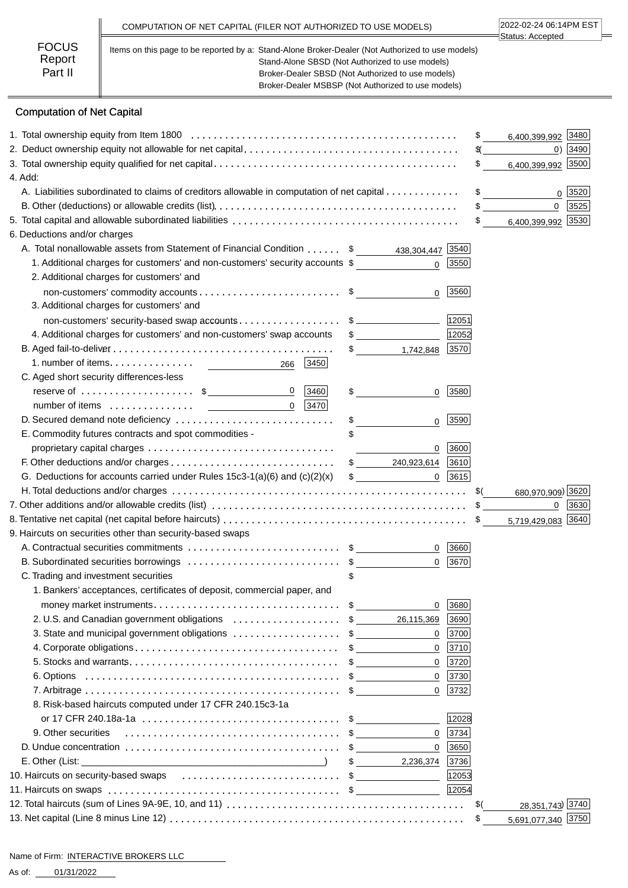|                                   | COMPUTATION OF NET CAPITAL (FILER NOT AUTHORIZED TO USE MODELS)                                                                                                                                                                                                | 2022-02-24 06:14PM EST<br>Status: Accepted |
|-----------------------------------|----------------------------------------------------------------------------------------------------------------------------------------------------------------------------------------------------------------------------------------------------------------|--------------------------------------------|
| <b>FOCUS</b><br>Report<br>Part II | Items on this page to be reported by a: Stand-Alone Broker-Dealer (Not Authorized to use models)<br>Stand-Alone SBSD (Not Authorized to use models)<br>Broker-Dealer SBSD (Not Authorized to use models)<br>Broker-Dealer MSBSP (Not Authorized to use models) |                                            |

# Computation of Net Capital

|                                                                                            |                            |                   | 6,400,399,992 3480<br>\$                     |
|--------------------------------------------------------------------------------------------|----------------------------|-------------------|----------------------------------------------|
|                                                                                            |                            | $0)$ 3490<br>\$(_ |                                              |
|                                                                                            |                            |                   | \$<br>6,400,399,992 3500                     |
| 4. Add:                                                                                    |                            |                   |                                              |
| A. Liabilities subordinated to claims of creditors allowable in computation of net capital |                            |                   | \$<br>0 3520                                 |
|                                                                                            |                            |                   | $\mathbf{0}$<br>3525                         |
|                                                                                            |                            |                   | 6,400,399,992 3530<br>$\mathbb{S}$           |
| 6. Deductions and/or charges                                                               |                            |                   |                                              |
| A. Total nonallowable assets from Statement of Financial Condition \$ 438,304,447 [3540]   |                            |                   |                                              |
| 1. Additional charges for customers' and non-customers' security accounts \$               | $\Omega$                   | 3550              |                                              |
| 2. Additional charges for customers' and                                                   |                            |                   |                                              |
|                                                                                            | $\Omega$                   | 3560              |                                              |
| 3. Additional charges for customers' and                                                   |                            |                   |                                              |
| non-customers' security-based swap accounts\$                                              |                            | 12051             |                                              |
| 4. Additional charges for customers' and non-customers' swap accounts                      | $\sim$                     | 12052             |                                              |
|                                                                                            | $\frac{1}{2}$<br>1,742,848 | 3570              |                                              |
| 3450<br>266                                                                                |                            |                   |                                              |
| C. Aged short security differences-less                                                    |                            |                   |                                              |
| reserve of $\dots\dots\dots\dots\dots\dots$ \$<br>$\mathbf 0$<br>3460                      | \$<br>0                    | 3580              |                                              |
| $0$   3470                                                                                 |                            |                   |                                              |
| D. Secured demand note deficiency                                                          | \$<br>$\mathbf{0}$         | 3590              |                                              |
| E. Commodity futures contracts and spot commodities -                                      |                            |                   |                                              |
|                                                                                            | 0                          | 3600              |                                              |
|                                                                                            |                            |                   |                                              |
| G. Deductions for accounts carried under Rules $15c3-1(a)(6)$ and $(c)(2)(x)$              | $\mathfrak{S}$             | $0$   3615        |                                              |
|                                                                                            |                            |                   | 680,970,909) 3620                            |
|                                                                                            |                            |                   | 3630<br>$\mathbf{0}$                         |
|                                                                                            |                            |                   | 5,719,429,083 3640                           |
| 9. Haircuts on securities other than security-based swaps                                  |                            |                   |                                              |
|                                                                                            |                            | 0   3660          |                                              |
| B. Subordinated securities borrowings \$                                                   | 0                          | 3670              |                                              |
| C. Trading and investment securities                                                       |                            |                   |                                              |
| 1. Bankers' acceptances, certificates of deposit, commercial paper, and                    |                            |                   |                                              |
|                                                                                            | 0                          | 3680              |                                              |
| 2. U.S. and Canadian government obligations \$                                             | 26,115,369                 | 3690              |                                              |
| 3. State and municipal government obligations \$                                           |                            | $0$ 3700          |                                              |
|                                                                                            | $\mathbf 0$                | 3710              |                                              |
|                                                                                            | $\mathbf{0}$               | 3720              |                                              |
|                                                                                            | $\mathbf 0$                | 3730              |                                              |
|                                                                                            | $\Omega$                   | 3732              |                                              |
| 8. Risk-based haircuts computed under 17 CFR 240.15c3-1a                                   |                            |                   |                                              |
|                                                                                            |                            | 12028             |                                              |
| 9. Other securities                                                                        | $\mathbf 0$                | 3734              |                                              |
|                                                                                            | $\Omega$                   | 3650              |                                              |
|                                                                                            | 2,236,374<br>$\sim$        | 3736              |                                              |
| 10. Haircuts on security-based swaps                                                       |                            | 12053             |                                              |
|                                                                                            |                            |                   |                                              |
|                                                                                            |                            | 12054             |                                              |
|                                                                                            |                            |                   | \$(                                          |
|                                                                                            |                            |                   | 28,351,743) 3740<br>5,691,077,340 3750<br>\$ |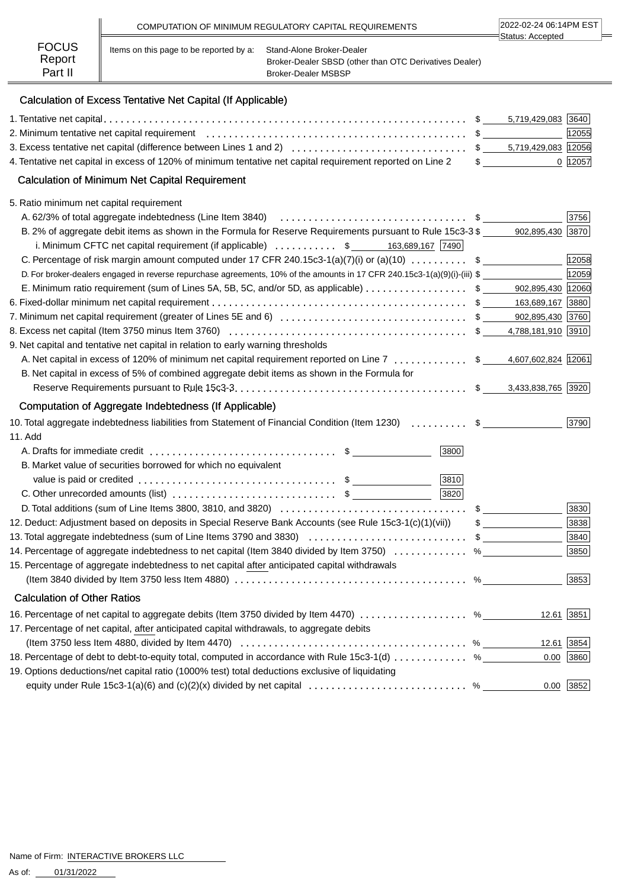|                                   |                                         | COMPUTATION OF MINIMUM REGULATORY CAPITAL REQUIREMENTS                                                     | 2022-02-24 06:14PM EST<br>∃Status: Accepted |
|-----------------------------------|-----------------------------------------|------------------------------------------------------------------------------------------------------------|---------------------------------------------|
| <b>FOCUS</b><br>Report<br>Part II | Items on this page to be reported by a: | Stand-Alone Broker-Dealer<br>Broker-Dealer SBSD (other than OTC Derivatives Dealer)<br>Broker-Dealer MSBSP |                                             |

# Calculation of Excess Tentative Net Capital (If Applicable)

|                                                                                                                                 |   | 5,719,429,083 3640                |              |
|---------------------------------------------------------------------------------------------------------------------------------|---|-----------------------------------|--------------|
|                                                                                                                                 |   |                                   | 12055        |
|                                                                                                                                 |   |                                   |              |
| 4. Tentative net capital in excess of 120% of minimum tentative net capital requirement reported on Line 2                      |   | $\frac{1}{2}$                     | 0 12057      |
| <b>Calculation of Minimum Net Capital Requirement</b>                                                                           |   |                                   |              |
| 5. Ratio minimum net capital requirement                                                                                        |   |                                   |              |
|                                                                                                                                 |   |                                   | 3756         |
| B. 2% of aggregate debit items as shown in the Formula for Reserve Requirements pursuant to Rule 15c3-3 \$                      |   | 902,895,430 3870                  |              |
| i. Minimum CFTC net capital requirement (if applicable) $\ldots \ldots \ldots$ \$ 163,689,167 $\boxed{7490}$                    |   |                                   |              |
| C. Percentage of risk margin amount computed under 17 CFR 240.15c3-1(a)(7)(i) or (a)(10)  \$                                    |   |                                   | 12058        |
| D. For broker-dealers engaged in reverse repurchase agreements, 10% of the amounts in 17 CFR 240.15c3-1(a)(9)(i)-(iii) \$       |   |                                   | 12059        |
| E. Minimum ratio requirement (sum of Lines 5A, 5B, 5C, and/or 5D, as applicable) \$ 902,895,430 12060                           |   |                                   |              |
|                                                                                                                                 |   |                                   |              |
|                                                                                                                                 |   |                                   |              |
|                                                                                                                                 |   |                                   |              |
| 9. Net capital and tentative net capital in relation to early warning thresholds                                                |   |                                   |              |
| A. Net capital in excess of 120% of minimum net capital requirement reported on Line 7  \$ 4,607,602,824  12061                 |   |                                   |              |
| B. Net capital in excess of 5% of combined aggregate debit items as shown in the Formula for                                    |   |                                   |              |
|                                                                                                                                 |   |                                   |              |
| Computation of Aggregate Indebtedness (If Applicable)                                                                           |   |                                   |              |
| 10. Total aggregate indebtedness liabilities from Statement of Financial Condition (Item 1230)  \$                              |   |                                   | 3790         |
| 11. Add                                                                                                                         |   |                                   |              |
| 3800                                                                                                                            |   |                                   |              |
| B. Market value of securities borrowed for which no equivalent                                                                  |   |                                   |              |
| 3810                                                                                                                            |   |                                   |              |
| 3820<br>C. Other unrecorded amounts (list) $\ldots$ $\ldots$ $\ldots$ $\ldots$ $\ldots$ $\ldots$ $\ddot{\text{s}}$              |   |                                   |              |
|                                                                                                                                 |   | $\mathfrak{S}$ and $\mathfrak{S}$ | 3830         |
| 12. Deduct: Adjustment based on deposits in Special Reserve Bank Accounts (see Rule 15c3-1(c)(1)(vii))                          |   | $\mathfrak s$                     | 3838         |
| 13. Total aggregate indebtedness (sum of Line Items 3790 and 3830) \$                                                           |   |                                   | 3840         |
| 14. Percentage of aggregate indebtedness to net capital (Item 3840 divided by Item 3750)                                        |   | $\%$                              | 3850         |
| 15. Percentage of aggregate indebtedness to net capital after anticipated capital withdrawals                                   |   |                                   |              |
|                                                                                                                                 | % |                                   | 3853         |
| <b>Calculation of Other Ratios</b>                                                                                              |   |                                   |              |
| 16. Percentage of net capital to aggregate debits (Item 3750 divided by Item 4470) %                                            |   |                                   | $12.61$ 3851 |
| 17. Percentage of net capital, after anticipated capital withdrawals, to aggregate debits                                       |   |                                   |              |
| (Item 3750 less Item 4880, divided by Item 4470) $\ldots \ldots \ldots \ldots \ldots \ldots \ldots \ldots \ldots \ldots \ldots$ |   |                                   | 12.61 3854   |
| 18. Percentage of debt to debt-to-equity total, computed in accordance with Rule 15c3-1(d)  %                                   |   | 0.00                              | 3860         |
| 19. Options deductions/net capital ratio (1000% test) total deductions exclusive of liquidating                                 |   |                                   |              |
| equity under Rule 15c3-1(a)(6) and (c)(2)(x) divided by net capital $\ldots \ldots \ldots \ldots \ldots \ldots \ldots$          |   |                                   | $0.00$ 3852  |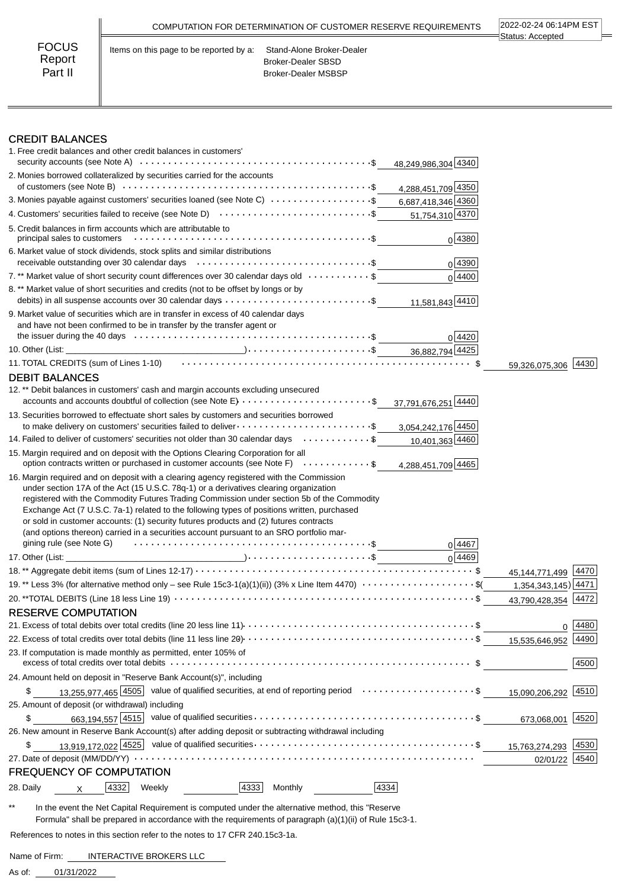|                                   | COMPUTATION FOR DETERMINATION OF CUSTOMER RESERVE REQUIREMENTS                                                           | 2022-02-24 06:14PM EST<br>Status: Accepted |
|-----------------------------------|--------------------------------------------------------------------------------------------------------------------------|--------------------------------------------|
| <b>FOCUS</b><br>Report<br>Part II | Items on this page to be reported by a:<br>Stand-Alone Broker-Dealer<br>Broker-Dealer SBSD<br><b>Broker-Dealer MSBSP</b> |                                            |

## CREDIT BALANCES

| 1. Free credit balances and other credit balances in customers'                                                                                                                                                                                                                                                                                                                                                                                                                  |                        |      |
|----------------------------------------------------------------------------------------------------------------------------------------------------------------------------------------------------------------------------------------------------------------------------------------------------------------------------------------------------------------------------------------------------------------------------------------------------------------------------------|------------------------|------|
| 48,249,986,304 4340                                                                                                                                                                                                                                                                                                                                                                                                                                                              |                        |      |
| 2. Monies borrowed collateralized by securities carried for the accounts<br>4,288,451,709 4350                                                                                                                                                                                                                                                                                                                                                                                   |                        |      |
| 3. Monies payable against customers' securities loaned (see Note C) $\cdots \cdots \cdots \cdots \cdots$ 6,687,418,346 4360                                                                                                                                                                                                                                                                                                                                                      |                        |      |
| 4. Customers' securities failed to receive (see Note D) $\cdots$ \$<br>51,754,310 4370                                                                                                                                                                                                                                                                                                                                                                                           |                        |      |
| 5. Credit balances in firm accounts which are attributable to<br>0 4380                                                                                                                                                                                                                                                                                                                                                                                                          |                        |      |
| 6. Market value of stock dividends, stock splits and similar distributions<br>0 4390                                                                                                                                                                                                                                                                                                                                                                                             |                        |      |
| 7.** Market value of short security count differences over 30 calendar days old $\dots\dots\dots\dots$ \$<br>0 4400                                                                                                                                                                                                                                                                                                                                                              |                        |      |
| 8. ** Market value of short securities and credits (not to be offset by longs or by<br>11,581,843 4410                                                                                                                                                                                                                                                                                                                                                                           |                        |      |
| 9. Market value of securities which are in transfer in excess of 40 calendar days<br>and have not been confirmed to be in transfer by the transfer agent or<br>0 4420                                                                                                                                                                                                                                                                                                            |                        |      |
|                                                                                                                                                                                                                                                                                                                                                                                                                                                                                  |                        |      |
| 11. TOTAL CREDITS (sum of Lines 1-10) (and the context of the context of the state of the state of the state o                                                                                                                                                                                                                                                                                                                                                                   | 59,326,075,306 4430    |      |
| <b>DEBIT BALANCES</b>                                                                                                                                                                                                                                                                                                                                                                                                                                                            |                        |      |
| 12.** Debit balances in customers' cash and margin accounts excluding unsecured                                                                                                                                                                                                                                                                                                                                                                                                  |                        |      |
| accounts and accounts doubtful of collection (see Note E) \$<br>37,791,676,251 4440                                                                                                                                                                                                                                                                                                                                                                                              |                        |      |
| 13. Securities borrowed to effectuate short sales by customers and securities borrowed<br>3,054,242,176 4450                                                                                                                                                                                                                                                                                                                                                                     |                        |      |
| 14. Failed to deliver of customers' securities not older than 30 calendar days \$<br>10,401,363 4460                                                                                                                                                                                                                                                                                                                                                                             |                        |      |
| 15. Margin required and on deposit with the Options Clearing Corporation for all<br>option contracts written or purchased in customer accounts (see Note F) \$<br>4,288,451,709 4465                                                                                                                                                                                                                                                                                             |                        |      |
| under section 17A of the Act (15 U.S.C. 78q-1) or a derivatives clearing organization<br>registered with the Commodity Futures Trading Commission under section 5b of the Commodity<br>Exchange Act (7 U.S.C. 7a-1) related to the following types of positions written, purchased<br>or sold in customer accounts: (1) security futures products and (2) futures contracts<br>(and options thereon) carried in a securities account pursuant to an SRO portfolio mar-<br>0 4467 |                        |      |
| $0\sqrt{4469}$                                                                                                                                                                                                                                                                                                                                                                                                                                                                   |                        |      |
|                                                                                                                                                                                                                                                                                                                                                                                                                                                                                  | 45, 144, 771, 499 4470 |      |
| 19.** Less 3% (for alternative method only - see Rule 15c3-1(a)(1)(ii)) (3% x Line Item 4470) $\cdots$ \$(                                                                                                                                                                                                                                                                                                                                                                       | 1,354,343,145) 4471    |      |
|                                                                                                                                                                                                                                                                                                                                                                                                                                                                                  | 43,790,428,354         | 4472 |
| <b>RESERVE COMPUTATION</b>                                                                                                                                                                                                                                                                                                                                                                                                                                                       |                        |      |
|                                                                                                                                                                                                                                                                                                                                                                                                                                                                                  | 0                      | 4480 |
|                                                                                                                                                                                                                                                                                                                                                                                                                                                                                  | 15,535,646,952         | 4490 |
| 23. If computation is made monthly as permitted, enter 105% of                                                                                                                                                                                                                                                                                                                                                                                                                   |                        | 4500 |
| 24. Amount held on deposit in "Reserve Bank Account(s)", including                                                                                                                                                                                                                                                                                                                                                                                                               |                        |      |
| 13,255,977,465 4505 value of qualified securities, at end of reporting period \$<br>\$                                                                                                                                                                                                                                                                                                                                                                                           | 15,090,206,292 4510    |      |
| 25. Amount of deposit (or withdrawal) including                                                                                                                                                                                                                                                                                                                                                                                                                                  |                        |      |
| 663,194,557 $\boxed{4515}$ value of qualified securities $\cdots \cdots \cdots \cdots \cdots \cdots \cdots \cdots \cdots \cdots \cdots$ \$<br>\$                                                                                                                                                                                                                                                                                                                                 | 673,068,001 4520       |      |
| 26. New amount in Reserve Bank Account(s) after adding deposit or subtracting withdrawal including                                                                                                                                                                                                                                                                                                                                                                               |                        |      |
| \$                                                                                                                                                                                                                                                                                                                                                                                                                                                                               | 15,763,274,293         | 4530 |
|                                                                                                                                                                                                                                                                                                                                                                                                                                                                                  | 02/01/22               | 4540 |
| <b>FREQUENCY OF COMPUTATION</b>                                                                                                                                                                                                                                                                                                                                                                                                                                                  |                        |      |
| 4334<br>4332<br>4333<br>28. Daily<br>Weekly<br>Monthly<br>х                                                                                                                                                                                                                                                                                                                                                                                                                      |                        |      |

\*\* In the event the Net Capital Requirement is computed under the alternative method, this "Reserve Formula" shall be prepared in accordance with the requirements of paragraph (a)(1)(ii) of Rule 15c3-1.

 $\overline{\phantom{a}}$ 

References to notes in this section refer to the notes to 17 CFR 240.15c3-1a.

Name of Firm: INTERACTIVE BROKERS LLC

01/31/2022 As of: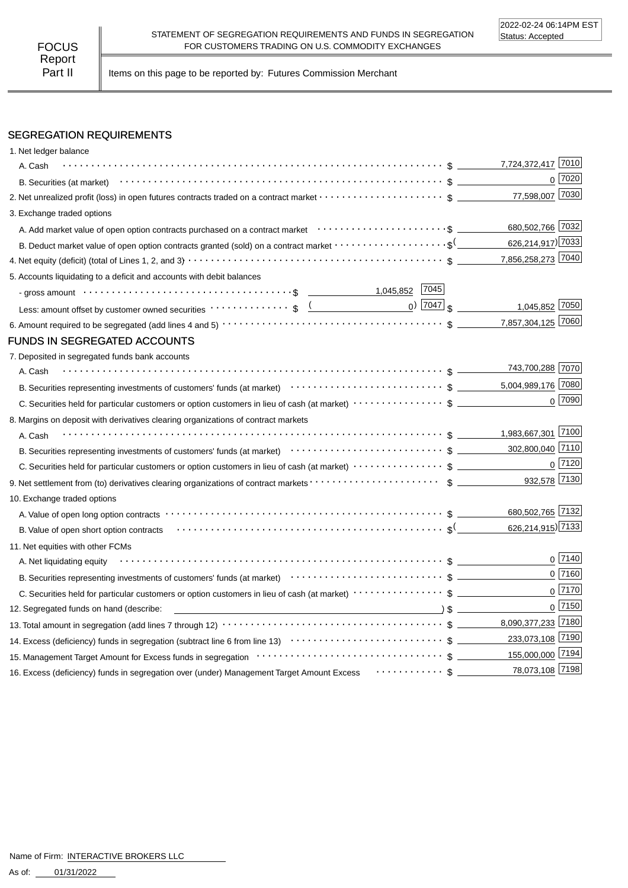Part II | Items on this page to be reported by: Futures Commission Merchant

## SEGREGATION REQUIREMENTS

| 1. Net ledger balance                                                                                                                                                                                                          |                                            |
|--------------------------------------------------------------------------------------------------------------------------------------------------------------------------------------------------------------------------------|--------------------------------------------|
| A. Cash                                                                                                                                                                                                                        | 7,724,372,417 7010                         |
|                                                                                                                                                                                                                                | $0$ $7020$                                 |
| 2. Net unrealized profit (loss) in open futures contracts traded on a contract market $\cdots\cdots\cdots\cdots\cdots\cdots$ \$                                                                                                | 77,598,007 7030                            |
| 3. Exchange traded options                                                                                                                                                                                                     |                                            |
|                                                                                                                                                                                                                                | 680,502,766 7032                           |
| B. Deduct market value of open option contracts granted (sold) on a contract market $\cdots\cdots\cdots\cdots\cdots\cdots$                                                                                                     | 626,214,917) 7033                          |
|                                                                                                                                                                                                                                | 7,856,258,273 7040                         |
| 5. Accounts liquidating to a deficit and accounts with debit balances                                                                                                                                                          |                                            |
| - gross amount \bit \\contract \\contract \\contract \\contract \\contract \\contract \\contract \\contract \\contract \\contract \\contract \\contract \\contract \\contract \\contract \\contract \\contract \\contract \\co |                                            |
| Less: amount offset by customer owned securities volto contract to set of the contract of the contract of the contract of the contract of the contract of the contract of the contract of the contract of the contract of the  | $_0$ ) $\boxed{7047}$ \$<br>1,045,852 7050 |
|                                                                                                                                                                                                                                | 7,857,304,125 7060                         |
| FUNDS IN SEGREGATED ACCOUNTS                                                                                                                                                                                                   |                                            |
| 7. Deposited in segregated funds bank accounts                                                                                                                                                                                 |                                            |
| A. Cash                                                                                                                                                                                                                        | 743,700,288 7070                           |
| B. Securities representing investments of customers' funds (at market)<br>$\cdots$ $\cdots$ $\cdots$ $\cdots$ $\cdots$ $\cdots$ $\cdots$ $\cdots$ $\cdots$ $\cdots$ $\cdots$ $\cdots$ $\cdots$ $\cdots$                        | 5,004,989,176 7080                         |
|                                                                                                                                                                                                                                | $0$ 7090                                   |
| 8. Margins on deposit with derivatives clearing organizations of contract markets                                                                                                                                              |                                            |
| A. Cash                                                                                                                                                                                                                        |                                            |
| B. Securities representing investments of customers' funds (at market)<br>$\cdots$ $\cdots$ $\cdots$ $\uparrow$ $\qquad \qquad$                                                                                                | 302,800,040 7110                           |
|                                                                                                                                                                                                                                | $0$ 7120                                   |
|                                                                                                                                                                                                                                | 932,578 7130                               |
| 10. Exchange traded options                                                                                                                                                                                                    |                                            |
|                                                                                                                                                                                                                                | 680,502,765 7132                           |
| B. Value of open short option contracts (exception of the contracts of the contracts of the contracts of the contracts of the contracts of the contracts of the contracts of the contracts of the contract of the contract of  | 626,214,915) 7133                          |
| 11. Net equities with other FCMs                                                                                                                                                                                               |                                            |
| A. Net liquidating equity                                                                                                                                                                                                      | $0^{7140}$                                 |
| B. Securities representing investments of customers' funds (at market)<br>$\cdots$ $\cdots$ $\uparrow$ $\cdots$ $\uparrow$ $\qquad$                                                                                            | $0$ 7160                                   |
|                                                                                                                                                                                                                                | $0$ 7170                                   |
| $\sqrt{2}$ $\sqrt{2}$<br>12. Segregated funds on hand (describe:                                                                                                                                                               | $0$ 7150                                   |
|                                                                                                                                                                                                                                | 8,090,377,233 7180                         |
|                                                                                                                                                                                                                                | 233,073,108 7190                           |
| 15. Management Target Amount for Excess funds in segregation contract to contract the contract of the search of the Management Target Amount for Excess funds in segregation contract to contract the contract of the Manageme |                                            |
| 16. Excess (deficiency) funds in segregation over (under) Management Target Amount Excess  \$                                                                                                                                  | 78,073,108 7198                            |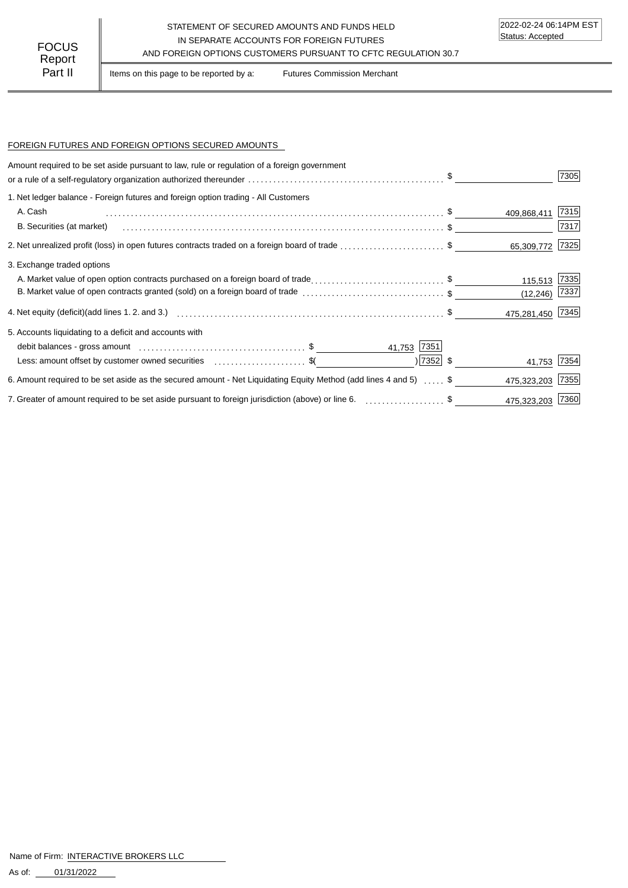### STATEMENT OF SECURED AMOUNTS AND FUNDS HELD IN SEPARATE ACCOUNTS FOR FOREIGN FUTURES FOCUS IN SEPARATE ACCOUNTS FOR FOREIGN FUTURES<br>Report

Part II | Items on this page to be reported by a: Futures Commission Merchant

#### FOREIGN FUTURES AND FOREIGN OPTIONS SECURED AMOUNTS

| Amount required to be set aside pursuant to law, rule or regulation of a foreign government<br>or a rule of a self-regulatory organization authorized thereunder $\ldots \ldots \ldots \ldots \ldots \ldots \ldots \ldots \ldots \ldots \ldots$ |             |                  | 7305 |
|-------------------------------------------------------------------------------------------------------------------------------------------------------------------------------------------------------------------------------------------------|-------------|------------------|------|
| 1. Net ledger balance - Foreign futures and foreign option trading - All Customers                                                                                                                                                              |             |                  |      |
| A. Cash                                                                                                                                                                                                                                         |             | 409,868,411      | 7315 |
| B. Securities (at market)                                                                                                                                                                                                                       |             |                  | 7317 |
| 2. Net unrealized profit (loss) in open futures contracts traded on a foreign board of trade \$                                                                                                                                                 |             | 65,309,772       | 7325 |
| 3. Exchange traded options                                                                                                                                                                                                                      |             |                  |      |
| A. Market value of open option contracts purchased on a foreign board of trade\$                                                                                                                                                                |             | 115,513          | 7335 |
| B. Market value of open contracts granted (sold) on a foreign board of trade \$                                                                                                                                                                 |             | (12, 246)        | 7337 |
|                                                                                                                                                                                                                                                 |             | 475,281,450 7345 |      |
| 5. Accounts liquidating to a deficit and accounts with                                                                                                                                                                                          |             |                  |      |
|                                                                                                                                                                                                                                                 | 41,753 7351 |                  |      |
| Less: amount offset by customer owned securities \$                                                                                                                                                                                             | $ 7352 $ \$ | 41,753 7354      |      |
| 6. Amount required to be set aside as the secured amount - Net Liquidating Equity Method (add lines 4 and 5)  \$                                                                                                                                |             | 475,323,203      | 7355 |
| 7. Greater of amount required to be set aside pursuant to foreign jurisdiction (above) or line 6. \$                                                                                                                                            |             | 475,323,203 7360 |      |